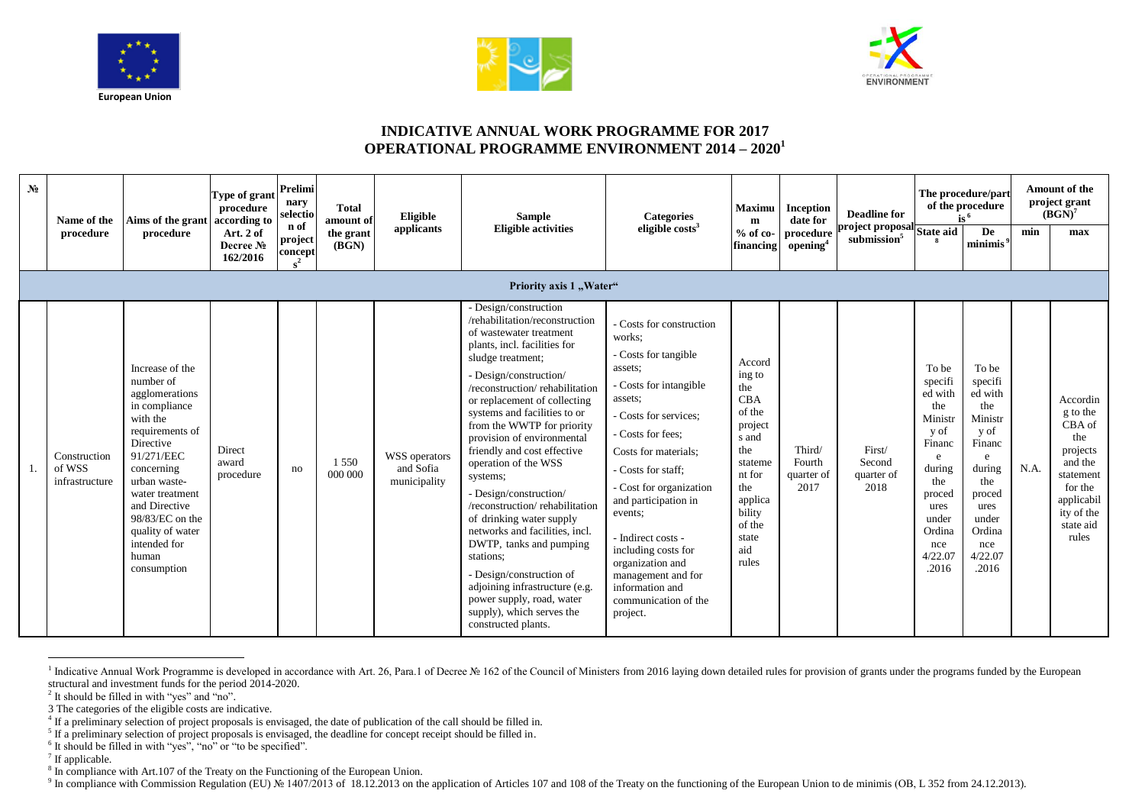





## **INDICATIVE ANNUAL WORK PROGRAMME FOR 2017 OPERATIONAL PROGRAMME ENVIRONMENT 2014 – 2020<sup>1</sup>**

| N <sub>2</sub> | Name of the                              | Aims of the grant according to                                                                                                                                                                                                                                             | Type of grant<br>procedure         | Prelimi<br>nary<br>selectio | <b>Total</b><br>amount of | Eligible<br>applicants                     | <b>Sample</b>                                                                                                                                                                                                                                                                                                                                                                                                                                                                                                                                                                                                                                                                                                       | <b>Categories</b>                                                                                                                                                                                                                                                                                                                                                                                                  | <b>Maximu</b><br>$\mathbf{m}$                                                                                                                                  | Inception<br>date for                  | <b>Deadline for</b>                                   | The procedure/part<br>of the procedure<br>$\overline{15}^6$                                                                                           |                                                                                                                                                       | Amount of the<br>project grant<br>(BGN) <sup>7</sup> |                                                                                                                                        |
|----------------|------------------------------------------|----------------------------------------------------------------------------------------------------------------------------------------------------------------------------------------------------------------------------------------------------------------------------|------------------------------------|-----------------------------|---------------------------|--------------------------------------------|---------------------------------------------------------------------------------------------------------------------------------------------------------------------------------------------------------------------------------------------------------------------------------------------------------------------------------------------------------------------------------------------------------------------------------------------------------------------------------------------------------------------------------------------------------------------------------------------------------------------------------------------------------------------------------------------------------------------|--------------------------------------------------------------------------------------------------------------------------------------------------------------------------------------------------------------------------------------------------------------------------------------------------------------------------------------------------------------------------------------------------------------------|----------------------------------------------------------------------------------------------------------------------------------------------------------------|----------------------------------------|-------------------------------------------------------|-------------------------------------------------------------------------------------------------------------------------------------------------------|-------------------------------------------------------------------------------------------------------------------------------------------------------|------------------------------------------------------|----------------------------------------------------------------------------------------------------------------------------------------|
|                | procedure                                | procedure                                                                                                                                                                                                                                                                  | Art. 2 of<br>Decree No<br>162/2016 | n of<br>project<br>concept  | the grant<br>(BGN)        |                                            | <b>Eligible activities</b>                                                                                                                                                                                                                                                                                                                                                                                                                                                                                                                                                                                                                                                                                          | eligible $costs3$                                                                                                                                                                                                                                                                                                                                                                                                  | $%$ of co-<br>financing                                                                                                                                        | procedure<br>opening <sup>4</sup>      | project proposal State aid<br>submission <sup>5</sup> |                                                                                                                                                       | De<br>minimis                                                                                                                                         | min                                                  | max                                                                                                                                    |
|                | Priority axis 1 "Water"                  |                                                                                                                                                                                                                                                                            |                                    |                             |                           |                                            |                                                                                                                                                                                                                                                                                                                                                                                                                                                                                                                                                                                                                                                                                                                     |                                                                                                                                                                                                                                                                                                                                                                                                                    |                                                                                                                                                                |                                        |                                                       |                                                                                                                                                       |                                                                                                                                                       |                                                      |                                                                                                                                        |
|                | Construction<br>of WSS<br>infrastructure | Increase of the<br>number of<br>agglomerations<br>in compliance<br>with the<br>requirements of<br>Directive<br>91/271/EEC<br>concerning<br>urban waste-<br>water treatment<br>and Directive<br>98/83/EC on the<br>quality of water<br>intended for<br>human<br>consumption | Direct<br>award<br>procedure       | no                          | 1 5 5 0<br>000 000        | WSS operators<br>and Sofia<br>municipality | - Design/construction<br>/rehabilitation/reconstruction<br>of wastewater treatment<br>plants, incl. facilities for<br>sludge treatment;<br>- Design/construction/<br>/reconstruction/rehabilitation<br>or replacement of collecting<br>systems and facilities to or<br>from the WWTP for priority<br>provision of environmental<br>friendly and cost effective<br>operation of the WSS<br>systems;<br>- Design/construction/<br>/reconstruction/rehabilitation<br>of drinking water supply<br>networks and facilities, incl.<br>DWTP, tanks and pumping<br>stations:<br>- Design/construction of<br>adjoining infrastructure (e.g.<br>power supply, road, water<br>supply), which serves the<br>constructed plants. | - Costs for construction<br>works:<br>- Costs for tangible<br>assets:<br>- Costs for intangible<br>assets:<br>- Costs for services:<br>- Costs for fees:<br>Costs for materials:<br>- Costs for staff:<br>- Cost for organization<br>and participation in<br>events;<br>- Indirect costs -<br>including costs for<br>organization and<br>management and for<br>information and<br>communication of the<br>project. | Accord<br>ing to<br>the<br><b>CBA</b><br>of the<br>project<br>s and<br>the<br>stateme<br>nt for<br>the<br>applica<br>bility<br>of the<br>state<br>aid<br>rules | Third/<br>Fourth<br>quarter of<br>2017 | First/<br>Second<br>quarter of<br>2018                | To be<br>specifi<br>ed with<br>the<br>Ministr<br>y of<br>Financ<br>e<br>during<br>the<br>proced<br>ures<br>under<br>Ordina<br>nce<br>4/22.07<br>.2016 | To be<br>specifi<br>ed with<br>the<br>Ministr<br>y of<br>Financ<br>e<br>during<br>the<br>proced<br>ures<br>under<br>Ordina<br>nce<br>4/22.07<br>.2016 | N.A.                                                 | Accordin<br>g to the<br>CBA of<br>the<br>projects<br>and the<br>statement<br>for the<br>applicabil<br>ity of the<br>state aid<br>rules |

a Indicative Annual Work Programme is developed in accordance with Art. 26, Para.1 of Decree № 162 of the Council of Ministers from 2016 laying down detailed rules for provision of grants under the programs funded by the structural and investment funds for the period 2014-2020.

<sup>2</sup> It should be filled in with "yes" and "no".

3 The categories of the eligible costs are indicative.

<sup>6</sup> It should be filled in with "yes", "no" or "to be specified".

<sup>7</sup> If applicable.

<sup>8</sup> In compliance with Art.107 of the Treaty on the Functioning of the European Union.

<sup>9</sup> In compliance with Commission Regulation (EU) № 1407/2013 of 18.12.2013 on the application of Articles 107 and 108 of the Treaty on the functioning of the European Union to de minimis (OB, L 352 from 24.12.2013).

<sup>&</sup>lt;sup>4</sup> If a preliminary selection of project proposals is envisaged, the date of publication of the call should be filled in.

<sup>&</sup>lt;sup>5</sup> If a preliminary selection of project proposals is envisaged, the deadline for concept receipt should be filled in.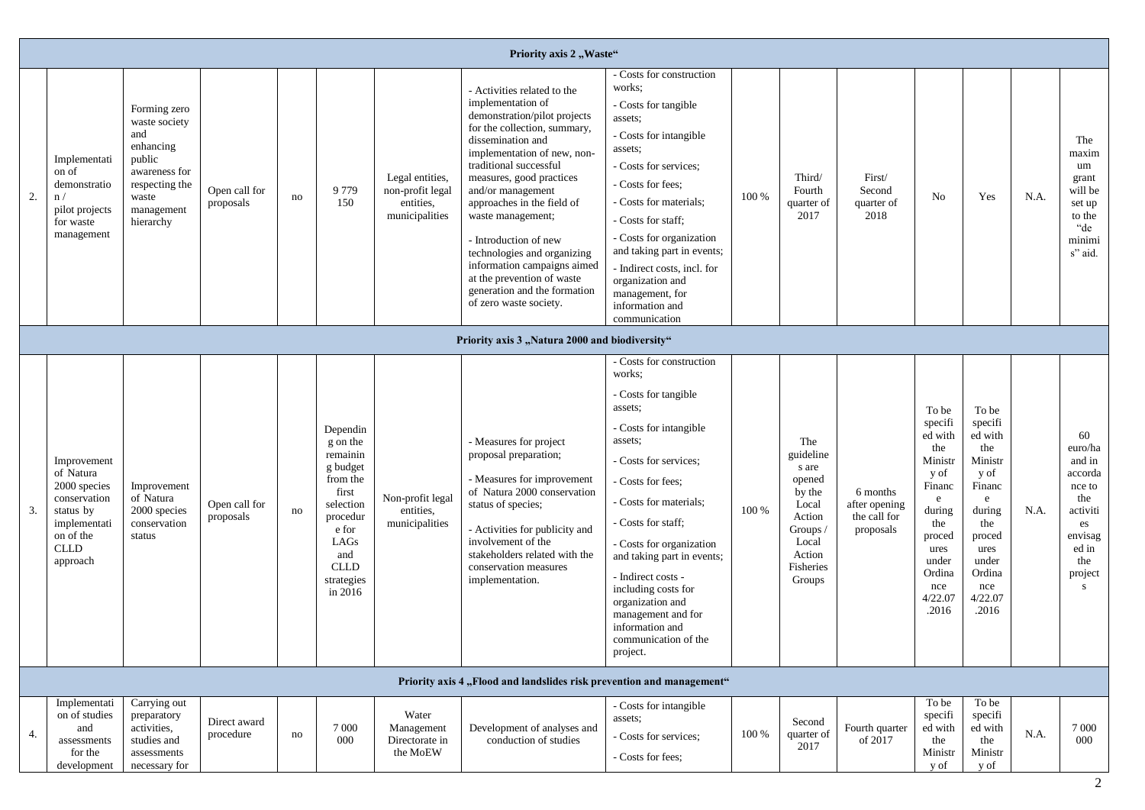|                                                | Priority axis 2 "Waste"                                                                                                       |                                                                                                                                    |                            |    |                                                                                                                                                            |                                                                    |                                                                                                                                                                                                                                                                                                                                                                                                                                                                                   |                                                                                                                                                                                                                                                                                                                                                                                                                  |       |                                                                                                                          |                                                        |                                                                                                                                                       |                                                                                                                                                       |      |                                                                                                                   |
|------------------------------------------------|-------------------------------------------------------------------------------------------------------------------------------|------------------------------------------------------------------------------------------------------------------------------------|----------------------------|----|------------------------------------------------------------------------------------------------------------------------------------------------------------|--------------------------------------------------------------------|-----------------------------------------------------------------------------------------------------------------------------------------------------------------------------------------------------------------------------------------------------------------------------------------------------------------------------------------------------------------------------------------------------------------------------------------------------------------------------------|------------------------------------------------------------------------------------------------------------------------------------------------------------------------------------------------------------------------------------------------------------------------------------------------------------------------------------------------------------------------------------------------------------------|-------|--------------------------------------------------------------------------------------------------------------------------|--------------------------------------------------------|-------------------------------------------------------------------------------------------------------------------------------------------------------|-------------------------------------------------------------------------------------------------------------------------------------------------------|------|-------------------------------------------------------------------------------------------------------------------|
| 2.                                             | Implementati<br>on of<br>demonstratio<br>n /<br>pilot projects<br>for waste<br>management                                     | Forming zero<br>waste society<br>and<br>enhancing<br>public<br>awareness for<br>respecting the<br>waste<br>management<br>hierarchy | Open call for<br>proposals | no | 9779<br>150                                                                                                                                                | Legal entities,<br>non-profit legal<br>entities,<br>municipalities | - Activities related to the<br>implementation of<br>demonstration/pilot projects<br>for the collection, summary,<br>dissemination and<br>implementation of new, non-<br>traditional successful<br>measures, good practices<br>and/or management<br>approaches in the field of<br>waste management;<br>- Introduction of new<br>technologies and organizing<br>information campaigns aimed<br>at the prevention of waste<br>generation and the formation<br>of zero waste society. | - Costs for construction<br>works:<br>- Costs for tangible<br>assets:<br>- Costs for intangible<br>assets:<br>- Costs for services;<br>- Costs for fees:<br>- Costs for materials;<br>- Costs for staff;<br>- Costs for organization<br>and taking part in events;<br>- Indirect costs, incl. for<br>organization and<br>management, for<br>information and<br>communication                                     | 100 % | Third/<br>Fourth<br>quarter of<br>2017                                                                                   | First/<br>Second<br>quarter of<br>2018                 | N <sub>o</sub>                                                                                                                                        | Yes                                                                                                                                                   | N.A. | The<br>maxim<br>um<br>grant<br>will be<br>set up<br>to the<br>"de<br>minimi<br>s" aid.                            |
| Priority axis 3 "Natura 2000 and biodiversity" |                                                                                                                               |                                                                                                                                    |                            |    |                                                                                                                                                            |                                                                    |                                                                                                                                                                                                                                                                                                                                                                                                                                                                                   |                                                                                                                                                                                                                                                                                                                                                                                                                  |       |                                                                                                                          |                                                        |                                                                                                                                                       |                                                                                                                                                       |      |                                                                                                                   |
| 3.                                             | Improvement<br>of Natura<br>2000 species<br>conservation<br>status by<br>implementati<br>on of the<br><b>CLLD</b><br>approach | Improvement<br>of Natura<br>2000 species<br>conservation<br>status                                                                 | Open call for<br>proposals | no | Dependin<br>g on the<br>remainin<br>g budget<br>from the<br>first<br>selection<br>procedur<br>e for<br>LAGs<br>and<br><b>CLLD</b><br>strategies<br>in 2016 | Non-profit legal<br>entities,<br>municipalities                    | - Measures for project<br>proposal preparation;<br>- Measures for improvement<br>of Natura 2000 conservation<br>status of species;<br>- Activities for publicity and<br>involvement of the<br>stakeholders related with the<br>conservation measures<br>implementation.                                                                                                                                                                                                           | - Costs for construction<br>works:<br>- Costs for tangible<br>assets:<br>- Costs for intangible<br>assets:<br>- Costs for services;<br>- Costs for fees:<br>- Costs for materials;<br>- Costs for staff;<br>- Costs for organization<br>and taking part in events;<br>- Indirect costs -<br>including costs for<br>organization and<br>management and for<br>information and<br>communication of the<br>project. | 100 % | The<br>guideline<br>s are<br>opened<br>by the<br>Local<br>Action<br>Groups $/$<br>Local<br>Action<br>Fisheries<br>Groups | 6 months<br>after opening<br>the call for<br>proposals | To be<br>specifi<br>ed with<br>the<br>Ministr<br>y of<br>Financ<br>e<br>during<br>the<br>proced<br>ures<br>under<br>Ordina<br>nce<br>4/22.07<br>.2016 | To be<br>specifi<br>ed with<br>the<br>Ministr<br>y of<br>Financ<br>e<br>during<br>the<br>proced<br>ures<br>under<br>Ordina<br>nce<br>4/22.07<br>.2016 | N.A. | 60<br>euro/ha<br>and in<br>accorda<br>nce to<br>the<br>activiti<br>es<br>envisag<br>ed in<br>the<br>project<br>S. |
|                                                |                                                                                                                               |                                                                                                                                    |                            |    |                                                                                                                                                            |                                                                    | Priority axis 4 "Flood and landslides risk prevention and management"                                                                                                                                                                                                                                                                                                                                                                                                             |                                                                                                                                                                                                                                                                                                                                                                                                                  |       |                                                                                                                          |                                                        |                                                                                                                                                       |                                                                                                                                                       |      |                                                                                                                   |
| 4.                                             | Implementati<br>on of studies<br>and<br>assessments<br>for the<br>development                                                 | Carrying out<br>preparatory<br>activities,<br>studies and<br>assessments<br>necessary for                                          | Direct award<br>procedure  | no | 7 0 0 0<br>000                                                                                                                                             | Water<br>Management<br>Directorate in<br>the MoEW                  | Development of analyses and<br>conduction of studies                                                                                                                                                                                                                                                                                                                                                                                                                              | - Costs for intangible<br>assets:<br>- Costs for services;<br>- Costs for fees;                                                                                                                                                                                                                                                                                                                                  | 100 % | Second<br>quarter of<br>2017                                                                                             | Fourth quarter<br>of 2017                              | To be<br>specifi<br>ed with<br>the<br>Ministr<br>y of                                                                                                 | To be<br>specifi<br>ed with<br>the<br>Ministr<br>y of                                                                                                 | N.A. | 7 0 0 0<br>000                                                                                                    |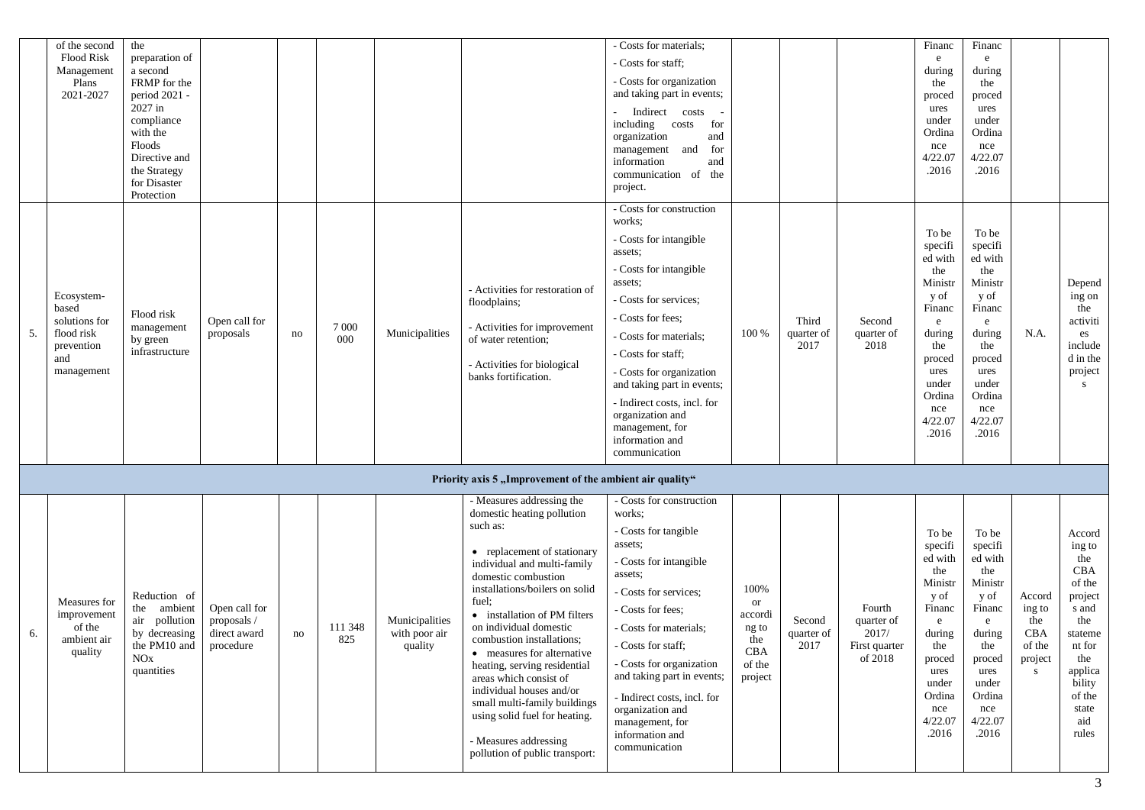| <b>Flood Risk</b><br>preparation of<br>${\rm e}$<br>$\mathbf e$<br>- Costs for staff;<br>a second<br>during<br>during<br>Management<br>- Costs for organization<br>Plans<br>FRMP for the<br>the<br>the<br>and taking part in events;<br>2021-2027<br>period 2021 -<br>proced<br>proced<br>2027 in<br>ures<br>ures<br>Indirect costs<br>compliance<br>under<br>under<br>including costs<br>for<br>with the<br>Ordina<br>Ordina<br>organization<br>and<br>Floods<br>nce<br>nce<br>management and<br>for<br>4/22.07<br>4/22.07<br>Directive and<br>information<br>and<br>.2016<br>.2016<br>the Strategy<br>communication of the<br>for Disaster<br>project.<br>Protection<br>- Costs for construction<br>works:<br>To be<br>To be<br>- Costs for intangible<br>specifi<br>specifi<br>assets:<br>ed with<br>ed with<br>- Costs for intangible<br>the<br>the<br>assets;<br>Ministr<br>Ministr<br>Depend<br>- Activities for restoration of<br>y of<br>y of<br>Ecosystem-<br>ing on<br>- Costs for services;<br>floodplains;<br>based<br>Financ<br>the<br>Financ<br>Flood risk<br>- Costs for fees:<br>solutions for<br>Third<br>activiti<br>Open call for<br>Second<br>e<br>e<br>7 0 0 0<br>- Activities for improvement<br>management<br>5.<br>flood risk<br>100 %<br>during<br>N.A.<br>Municipalities<br>during<br>proposals<br>quarter of<br>quarter of<br>no<br>es<br>- Costs for materials;<br>000<br>of water retention;<br>by green<br>2017<br>2018<br>prevention<br>the<br>the<br>include<br>infrastructure<br>- Costs for staff;<br>d in the<br>and<br>proced<br>proced<br>- Activities for biological<br>management<br>ures<br>ures<br>project<br>- Costs for organization<br>banks fortification.<br>under<br>under<br>and taking part in events;<br>S<br>Ordina<br>Ordina<br>- Indirect costs, incl. for<br>nce<br>nce<br>organization and<br>4/22.07<br>4/22.07<br>management, for<br>.2016<br>.2016<br>information and<br>communication<br>Priority axis 5, Improvement of the ambient air quality"<br>- Measures addressing the<br>- Costs for construction<br>domestic heating pollution<br>works:<br>such as:<br>- Costs for tangible<br>To be<br>To be<br>Accord<br>assets;<br>specifi<br>specifi<br>ing to<br>• replacement of stationary<br>ed with<br>ed with<br>the<br>- Costs for intangible<br>individual and multi-family<br><b>CBA</b><br>the<br>the<br>assets;<br>domestic combustion<br>Ministr<br>of the<br>Ministr<br>installations/boilers on solid<br>100%<br>- Costs for services;<br>Reduction of<br>y of<br>y of<br>Accord<br>project<br>fuel;<br>Measures for<br><b>or</b><br>ambient<br>Open call for<br>Fourth<br>the<br>Financ<br>Financ<br>ing to<br>s and<br>- Costs for fees;<br>improvement<br>• installation of PM filters<br>accordi<br>air<br>proposals /<br>Municipalities<br>the<br>pollution<br>Second<br>quarter of<br>e<br>the<br>e<br>of the<br>111 348<br>on individual domestic<br>- Costs for materials;<br>ng to<br>CBA<br>by decreasing<br>with poor air<br>2017/<br>$_{\rm during}$<br>during<br>6.<br>direct award<br>quarter of<br>no<br>stateme<br>825<br>ambient air<br>the<br>combustion installations;<br>the PM10 and<br>quality<br>2017<br>procedure<br>- Costs for staff;<br>First quarter<br>the<br>of the<br>$\mathop{\rm nt}\nolimits$ for<br>the<br><b>CBA</b><br>quality<br>• measures for alternative<br><b>NO<sub>x</sub></b><br>of 2018<br>project<br>the<br>proced<br>proced<br>- Costs for organization<br>of the<br>heating, serving residential<br>quantities<br>applica<br>ures<br>ures<br>S.<br>and taking part in events;<br>areas which consist of<br>project<br>bility<br>under<br>under<br>individual houses and/or<br>Ordina<br>Ordina<br>of the<br>- Indirect costs, incl. for<br>small multi-family buildings<br>nce<br>nce<br>state<br>organization and<br>using solid fuel for heating.<br>4/22.07<br>4/22.07<br>aid<br>management, for<br>.2016<br>.2016<br>information and<br>rules<br>- Measures addressing<br>communication<br>pollution of public transport: | of the second | the |  |  | - Costs for materials; |  | Financ | Financ |  |
|--------------------------------------------------------------------------------------------------------------------------------------------------------------------------------------------------------------------------------------------------------------------------------------------------------------------------------------------------------------------------------------------------------------------------------------------------------------------------------------------------------------------------------------------------------------------------------------------------------------------------------------------------------------------------------------------------------------------------------------------------------------------------------------------------------------------------------------------------------------------------------------------------------------------------------------------------------------------------------------------------------------------------------------------------------------------------------------------------------------------------------------------------------------------------------------------------------------------------------------------------------------------------------------------------------------------------------------------------------------------------------------------------------------------------------------------------------------------------------------------------------------------------------------------------------------------------------------------------------------------------------------------------------------------------------------------------------------------------------------------------------------------------------------------------------------------------------------------------------------------------------------------------------------------------------------------------------------------------------------------------------------------------------------------------------------------------------------------------------------------------------------------------------------------------------------------------------------------------------------------------------------------------------------------------------------------------------------------------------------------------------------------------------------------------------------------------------------------------------------------------------------------------------------------------------------------------------------------------------------------------------------------------------------------------------------------------------------------------------------------------------------------------------------------------------------------------------------------------------------------------------------------------------------------------------------------------------------------------------------------------------------------------------------------------------------------------------------------------------------------------------------------------------------------------------------------------------------------------------------------------------------------------------------------------------------------------------------------------------------------------------------------------------------------------------------------------------------------------------------------------------------------------------------------------------------------------------------------------------------------------------------------------------------------------------------------------------------------------------------------------------------------------------------------------------------------------------------------------------------------------------------------------------------------------------------------------------------------------------------------------------------------------------------------------------|---------------|-----|--|--|------------------------|--|--------|--------|--|
|                                                                                                                                                                                                                                                                                                                                                                                                                                                                                                                                                                                                                                                                                                                                                                                                                                                                                                                                                                                                                                                                                                                                                                                                                                                                                                                                                                                                                                                                                                                                                                                                                                                                                                                                                                                                                                                                                                                                                                                                                                                                                                                                                                                                                                                                                                                                                                                                                                                                                                                                                                                                                                                                                                                                                                                                                                                                                                                                                                                                                                                                                                                                                                                                                                                                                                                                                                                                                                                                                                                                                                                                                                                                                                                                                                                                                                                                                                                                                                                                                                                        |               |     |  |  |                        |  |        |        |  |
|                                                                                                                                                                                                                                                                                                                                                                                                                                                                                                                                                                                                                                                                                                                                                                                                                                                                                                                                                                                                                                                                                                                                                                                                                                                                                                                                                                                                                                                                                                                                                                                                                                                                                                                                                                                                                                                                                                                                                                                                                                                                                                                                                                                                                                                                                                                                                                                                                                                                                                                                                                                                                                                                                                                                                                                                                                                                                                                                                                                                                                                                                                                                                                                                                                                                                                                                                                                                                                                                                                                                                                                                                                                                                                                                                                                                                                                                                                                                                                                                                                                        |               |     |  |  |                        |  |        |        |  |
|                                                                                                                                                                                                                                                                                                                                                                                                                                                                                                                                                                                                                                                                                                                                                                                                                                                                                                                                                                                                                                                                                                                                                                                                                                                                                                                                                                                                                                                                                                                                                                                                                                                                                                                                                                                                                                                                                                                                                                                                                                                                                                                                                                                                                                                                                                                                                                                                                                                                                                                                                                                                                                                                                                                                                                                                                                                                                                                                                                                                                                                                                                                                                                                                                                                                                                                                                                                                                                                                                                                                                                                                                                                                                                                                                                                                                                                                                                                                                                                                                                                        |               |     |  |  |                        |  |        |        |  |
| $\mathfrak{Z}$                                                                                                                                                                                                                                                                                                                                                                                                                                                                                                                                                                                                                                                                                                                                                                                                                                                                                                                                                                                                                                                                                                                                                                                                                                                                                                                                                                                                                                                                                                                                                                                                                                                                                                                                                                                                                                                                                                                                                                                                                                                                                                                                                                                                                                                                                                                                                                                                                                                                                                                                                                                                                                                                                                                                                                                                                                                                                                                                                                                                                                                                                                                                                                                                                                                                                                                                                                                                                                                                                                                                                                                                                                                                                                                                                                                                                                                                                                                                                                                                                                         |               |     |  |  |                        |  |        |        |  |